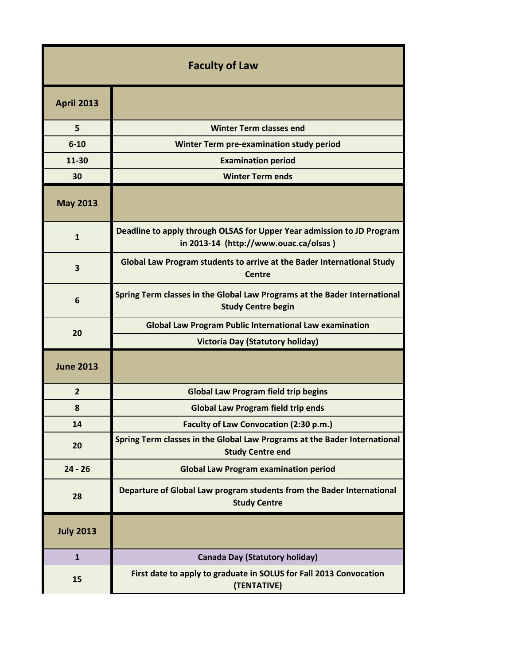| <b>Faculty of Law</b> |                                                                                                                 |  |
|-----------------------|-----------------------------------------------------------------------------------------------------------------|--|
| <b>April 2013</b>     |                                                                                                                 |  |
| 5                     | <b>Winter Term classes end</b>                                                                                  |  |
| $6 - 10$              | Winter Term pre-examination study period                                                                        |  |
| 11-30                 | <b>Examination period</b>                                                                                       |  |
| 30                    | <b>Winter Term ends</b>                                                                                         |  |
| <b>May 2013</b>       |                                                                                                                 |  |
| $\mathbf{1}$          | Deadline to apply through OLSAS for Upper Year admission to JD Program<br>in 2013-14 (http://www.ouac.ca/olsas) |  |
| 3                     | Global Law Program students to arrive at the Bader International Study<br>Centre                                |  |
| 6                     | Spring Term classes in the Global Law Programs at the Bader International<br><b>Study Centre begin</b>          |  |
| 20                    | <b>Global Law Program Public International Law examination</b>                                                  |  |
|                       | <b>Victoria Day (Statutory holiday)</b>                                                                         |  |
| <b>June 2013</b>      |                                                                                                                 |  |
| $\overline{2}$        | <b>Global Law Program field trip begins</b>                                                                     |  |
| 8                     | <b>Global Law Program field trip ends</b>                                                                       |  |
| 14                    | <b>Faculty of Law Convocation (2:30 p.m.)</b>                                                                   |  |
| 20                    | Spring Term classes in the Global Law Programs at the Bader International<br><b>Study Centre end</b>            |  |
| $24 - 26$             | <b>Global Law Program examination period</b>                                                                    |  |
| 28                    | Departure of Global Law program students from the Bader International<br><b>Study Centre</b>                    |  |
| <b>July 2013</b>      |                                                                                                                 |  |
| $\mathbf{1}$          | <b>Canada Day (Statutory holiday)</b>                                                                           |  |
| 15                    | First date to apply to graduate in SOLUS for Fall 2013 Convocation<br>(TENTATIVE)                               |  |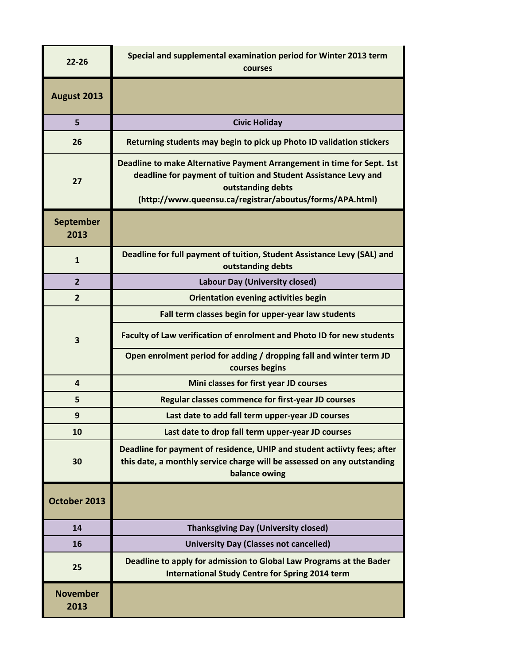| $22 - 26$                | Special and supplemental examination period for Winter 2013 term<br>courses                                                                                                                                                |
|--------------------------|----------------------------------------------------------------------------------------------------------------------------------------------------------------------------------------------------------------------------|
| August 2013              |                                                                                                                                                                                                                            |
| 5                        | <b>Civic Holiday</b>                                                                                                                                                                                                       |
| 26                       | Returning students may begin to pick up Photo ID validation stickers                                                                                                                                                       |
| 27                       | Deadline to make Alternative Payment Arrangement in time for Sept. 1st<br>deadline for payment of tuition and Student Assistance Levy and<br>outstanding debts<br>(http://www.queensu.ca/registrar/aboutus/forms/APA.html) |
| <b>September</b><br>2013 |                                                                                                                                                                                                                            |
| $\mathbf{1}$             | Deadline for full payment of tuition, Student Assistance Levy (SAL) and<br>outstanding debts                                                                                                                               |
| $\overline{2}$           | Labour Day (University closed)                                                                                                                                                                                             |
| $\overline{2}$           | <b>Orientation evening activities begin</b>                                                                                                                                                                                |
|                          | Fall term classes begin for upper-year law students                                                                                                                                                                        |
| 3                        | Faculty of Law verification of enrolment and Photo ID for new students                                                                                                                                                     |
|                          | Open enrolment period for adding / dropping fall and winter term JD<br>courses begins                                                                                                                                      |
| $\overline{\mathbf{4}}$  | Mini classes for first year JD courses                                                                                                                                                                                     |
| 5                        | Regular classes commence for first-year JD courses                                                                                                                                                                         |
| 9                        | Last date to add fall term upper-year JD courses                                                                                                                                                                           |
| 10                       | Last date to drop fall term upper-year JD courses                                                                                                                                                                          |
| 30                       | Deadline for payment of residence, UHIP and student actiivty fees; after<br>this date, a monthly service charge will be assessed on any outstanding<br>balance owing                                                       |
| October 2013             |                                                                                                                                                                                                                            |
| 14                       | <b>Thanksgiving Day (University closed)</b>                                                                                                                                                                                |
| 16                       | <b>University Day (Classes not cancelled)</b>                                                                                                                                                                              |
| 25                       | Deadline to apply for admission to Global Law Programs at the Bader<br><b>International Study Centre for Spring 2014 term</b>                                                                                              |
| <b>November</b><br>2013  |                                                                                                                                                                                                                            |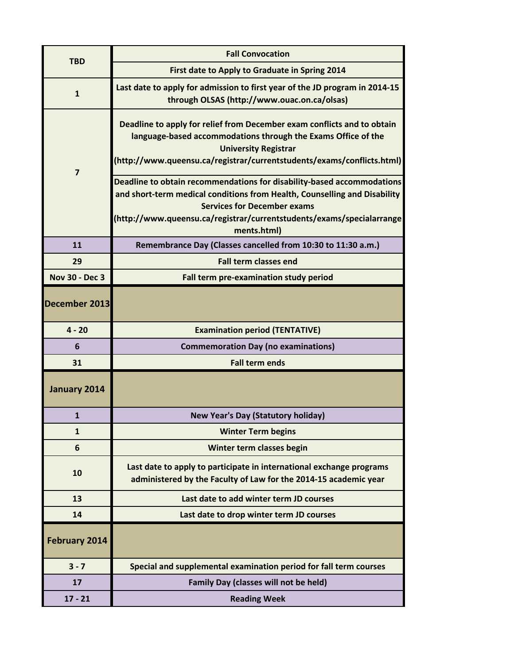| <b>TBD</b>            | <b>Fall Convocation</b>                                                                                                                  |
|-----------------------|------------------------------------------------------------------------------------------------------------------------------------------|
|                       | First date to Apply to Graduate in Spring 2014                                                                                           |
| $\mathbf{1}$          | Last date to apply for admission to first year of the JD program in 2014-15                                                              |
|                       | through OLSAS (http://www.ouac.on.ca/olsas)                                                                                              |
|                       | Deadline to apply for relief from December exam conflicts and to obtain                                                                  |
|                       | language-based accommodations through the Exams Office of the                                                                            |
|                       | <b>University Registrar</b><br>(http://www.queensu.ca/registrar/currentstudents/exams/conflicts.html)                                    |
| 7                     |                                                                                                                                          |
|                       | Deadline to obtain recommendations for disability-based accommodations                                                                   |
|                       | and short-term medical conditions from Health, Counselling and Disability<br><b>Services for December exams</b>                          |
|                       | (http://www.queensu.ca/registrar/currentstudents/exams/specialarrange                                                                    |
|                       | ments.html)                                                                                                                              |
| 11                    | Remembrance Day (Classes cancelled from 10:30 to 11:30 a.m.)                                                                             |
| 29                    | <b>Fall term classes end</b>                                                                                                             |
| <b>Nov 30 - Dec 3</b> | Fall term pre-examination study period                                                                                                   |
| December 2013         |                                                                                                                                          |
| $4 - 20$              | <b>Examination period (TENTATIVE)</b>                                                                                                    |
| 6                     | <b>Commemoration Day (no examinations)</b>                                                                                               |
| 31                    | <b>Fall term ends</b>                                                                                                                    |
| January 2014          |                                                                                                                                          |
| $\mathbf{1}$          | <b>New Year's Day (Statutory holiday)</b>                                                                                                |
| $\mathbf{1}$          | <b>Winter Term begins</b>                                                                                                                |
| 6                     | Winter term classes begin                                                                                                                |
| 10                    | Last date to apply to participate in international exchange programs<br>administered by the Faculty of Law for the 2014-15 academic year |
| 13                    | Last date to add winter term JD courses                                                                                                  |
| 14                    | Last date to drop winter term JD courses                                                                                                 |
| <b>February 2014</b>  |                                                                                                                                          |
| $3 - 7$               | Special and supplemental examination period for fall term courses                                                                        |
| 17                    | <b>Family Day (classes will not be held)</b>                                                                                             |
| $17 - 21$             | <b>Reading Week</b>                                                                                                                      |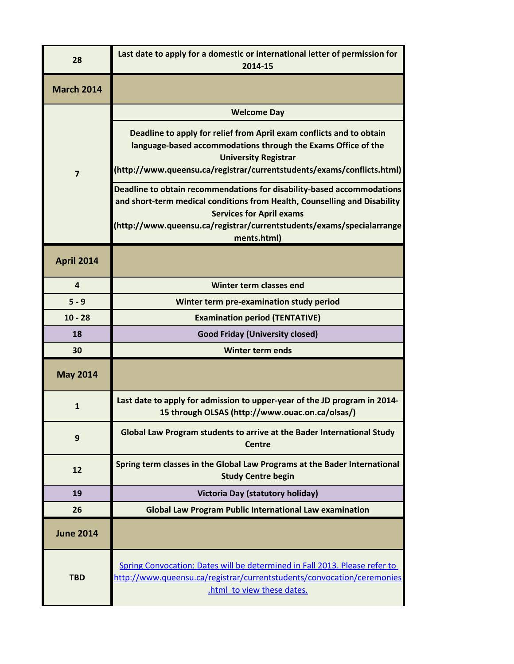| 28                | Last date to apply for a domestic or international letter of permission for<br>2014-15                                                                                                                                                                                         |
|-------------------|--------------------------------------------------------------------------------------------------------------------------------------------------------------------------------------------------------------------------------------------------------------------------------|
| <b>March 2014</b> |                                                                                                                                                                                                                                                                                |
|                   | <b>Welcome Day</b>                                                                                                                                                                                                                                                             |
| $\overline{7}$    | Deadline to apply for relief from April exam conflicts and to obtain<br>language-based accommodations through the Exams Office of the<br><b>University Registrar</b><br>(http://www.queensu.ca/registrar/currentstudents/exams/conflicts.html)                                 |
|                   | Deadline to obtain recommendations for disability-based accommodations<br>and short-term medical conditions from Health, Counselling and Disability<br><b>Services for April exams</b><br>(http://www.queensu.ca/registrar/currentstudents/exams/specialarrange<br>ments.html) |
| <b>April 2014</b> |                                                                                                                                                                                                                                                                                |
| $\overline{a}$    | Winter term classes end                                                                                                                                                                                                                                                        |
| $5 - 9$           | Winter term pre-examination study period                                                                                                                                                                                                                                       |
| $10 - 28$         | <b>Examination period (TENTATIVE)</b>                                                                                                                                                                                                                                          |
| 18                | <b>Good Friday (University closed)</b>                                                                                                                                                                                                                                         |
| 30                | <b>Winter term ends</b>                                                                                                                                                                                                                                                        |
| <b>May 2014</b>   |                                                                                                                                                                                                                                                                                |
| $\mathbf{1}$      | Last date to apply for admission to upper-year of the JD program in 2014-<br>15 through OLSAS (http://www.ouac.on.ca/olsas/)                                                                                                                                                   |
| 9                 | Global Law Program students to arrive at the Bader International Study<br><b>Centre</b>                                                                                                                                                                                        |
| 12                | Spring term classes in the Global Law Programs at the Bader International<br><b>Study Centre begin</b>                                                                                                                                                                         |
| 19                | Victoria Day (statutory holiday)                                                                                                                                                                                                                                               |
| 26                | <b>Global Law Program Public International Law examination</b>                                                                                                                                                                                                                 |
| <b>June 2014</b>  |                                                                                                                                                                                                                                                                                |
| <b>TBD</b>        | Spring Convocation: Dates will be determined in Fall 2013. Please refer to<br>http://www.queensu.ca/registrar/currentstudents/convocation/ceremonies<br>.html to view these dates.                                                                                             |